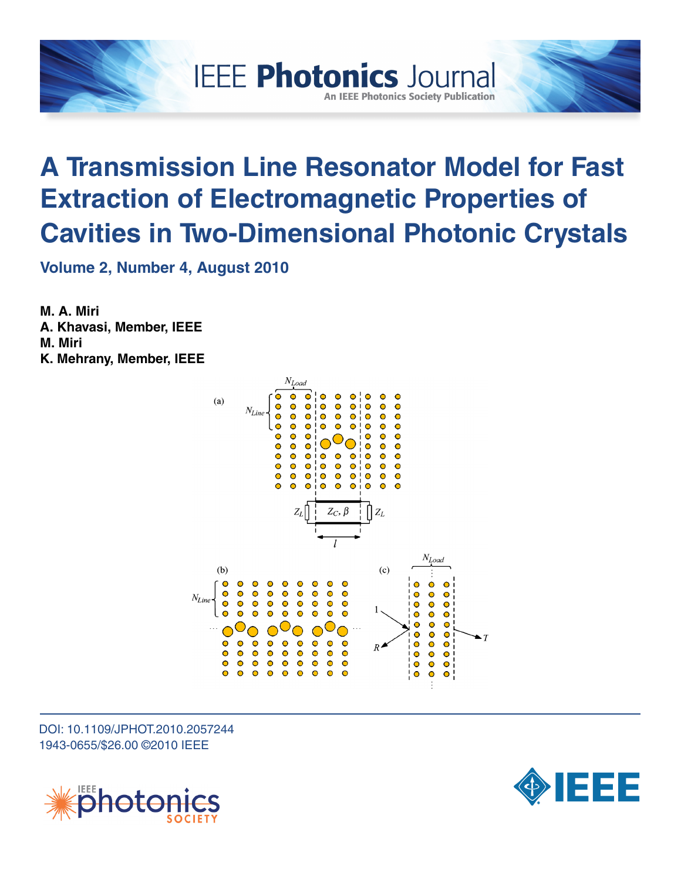

# **A Transmission Line Resonator Model for Fast Extraction of Electromagnetic Properties of Cavities in Two-Dimensional Photonic Crystals**

**Volume 2, Number 4, August 2010**

**M. A. Miri A. Khavasi, Member, IEEE M. Miri K. Mehrany, Member, IEEE**



DOI: 10.1109/JPHOT.2010.2057244 1943-0655/\$26.00 ©2010 IEEE



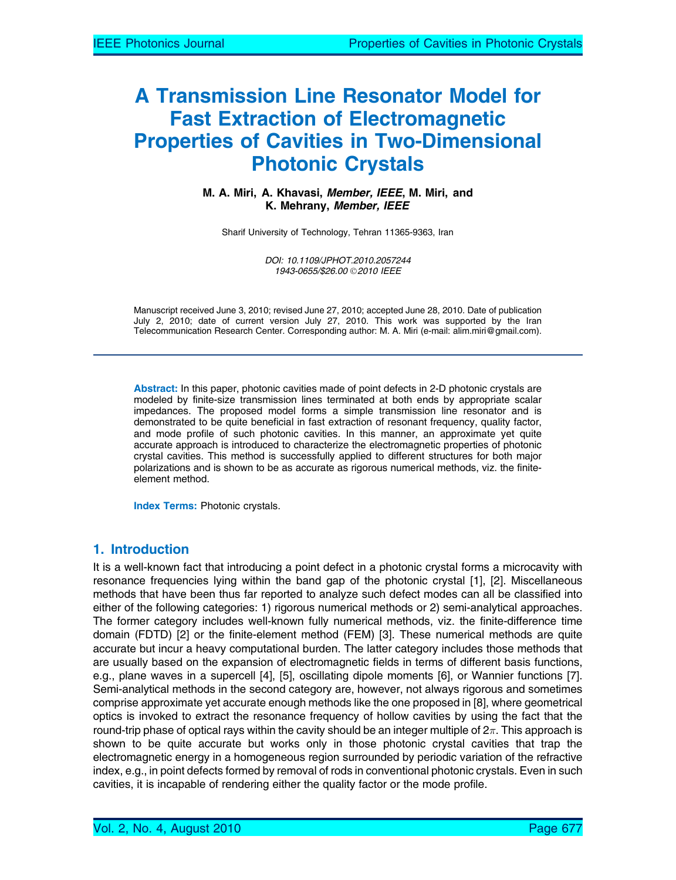# A Transmission Line Resonator Model for Fast Extraction of Electromagnetic Properties of Cavities in Two-Dimensional Photonic Crystals

M. A. Miri, A. Khavasi, Member, IEEE, M. Miri, and K. Mehrany, Member, IEEE

Sharif University of Technology, Tehran 11365-9363, Iran

DOI: 10.1109/JPHOT.2010.2057244 1943-0655/\$26.00 © 2010 IEEE

Manuscript received June 3, 2010; revised June 27, 2010; accepted June 28, 2010. Date of publication July 2, 2010; date of current version July 27, 2010. This work was supported by the Iran Telecommunication Research Center. Corresponding author: M. A. Miri (e-mail: alim.miri@gmail.com).

Abstract: In this paper, photonic cavities made of point defects in 2-D photonic crystals are modeled by finite-size transmission lines terminated at both ends by appropriate scalar impedances. The proposed model forms a simple transmission line resonator and is demonstrated to be quite beneficial in fast extraction of resonant frequency, quality factor, and mode profile of such photonic cavities. In this manner, an approximate yet quite accurate approach is introduced to characterize the electromagnetic properties of photonic crystal cavities. This method is successfully applied to different structures for both major polarizations and is shown to be as accurate as rigorous numerical methods, viz. the finiteelement method.

Index Terms: Photonic crystals.

## 1. Introduction

It is a well-known fact that introducing a point defect in a photonic crystal forms a microcavity with resonance frequencies lying within the band gap of the photonic crystal [1], [2]. Miscellaneous methods that have been thus far reported to analyze such defect modes can all be classified into either of the following categories: 1) rigorous numerical methods or 2) semi-analytical approaches. The former category includes well-known fully numerical methods, viz. the finite-difference time domain (FDTD) [2] or the finite-element method (FEM) [3]. These numerical methods are quite accurate but incur a heavy computational burden. The latter category includes those methods that are usually based on the expansion of electromagnetic fields in terms of different basis functions, e.g., plane waves in a supercell [4], [5], oscillating dipole moments [6], or Wannier functions [7]. Semi-analytical methods in the second category are, however, not always rigorous and sometimes comprise approximate yet accurate enough methods like the one proposed in [8], where geometrical optics is invoked to extract the resonance frequency of hollow cavities by using the fact that the round-trip phase of optical rays within the cavity should be an integer multiple of 2 $\pi.$  This approach is shown to be quite accurate but works only in those photonic crystal cavities that trap the electromagnetic energy in a homogeneous region surrounded by periodic variation of the refractive index, e.g., in point defects formed by removal of rods in conventional photonic crystals. Even in such cavities, it is incapable of rendering either the quality factor or the mode profile.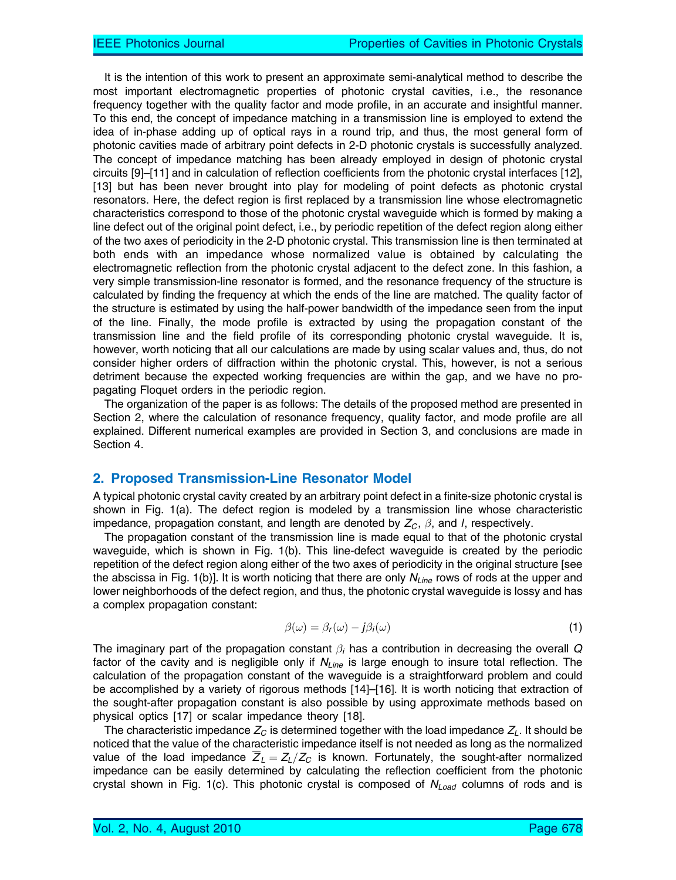It is the intention of this work to present an approximate semi-analytical method to describe the most important electromagnetic properties of photonic crystal cavities, i.e., the resonance frequency together with the quality factor and mode profile, in an accurate and insightful manner. To this end, the concept of impedance matching in a transmission line is employed to extend the idea of in-phase adding up of optical rays in a round trip, and thus, the most general form of photonic cavities made of arbitrary point defects in 2-D photonic crystals is successfully analyzed. The concept of impedance matching has been already employed in design of photonic crystal circuits [9]–[11] and in calculation of reflection coefficients from the photonic crystal interfaces [12], [13] but has been never brought into play for modeling of point defects as photonic crystal resonators. Here, the defect region is first replaced by a transmission line whose electromagnetic characteristics correspond to those of the photonic crystal waveguide which is formed by making a line defect out of the original point defect, i.e., by periodic repetition of the defect region along either of the two axes of periodicity in the 2-D photonic crystal. This transmission line is then terminated at both ends with an impedance whose normalized value is obtained by calculating the electromagnetic reflection from the photonic crystal adjacent to the defect zone. In this fashion, a very simple transmission-line resonator is formed, and the resonance frequency of the structure is calculated by finding the frequency at which the ends of the line are matched. The quality factor of the structure is estimated by using the half-power bandwidth of the impedance seen from the input of the line. Finally, the mode profile is extracted by using the propagation constant of the transmission line and the field profile of its corresponding photonic crystal waveguide. It is, however, worth noticing that all our calculations are made by using scalar values and, thus, do not consider higher orders of diffraction within the photonic crystal. This, however, is not a serious detriment because the expected working frequencies are within the gap, and we have no propagating Floquet orders in the periodic region.

The organization of the paper is as follows: The details of the proposed method are presented in Section 2, where the calculation of resonance frequency, quality factor, and mode profile are all explained. Different numerical examples are provided in Section 3, and conclusions are made in Section 4.

### 2. Proposed Transmission-Line Resonator Model

A typical photonic crystal cavity created by an arbitrary point defect in a finite-size photonic crystal is shown in Fig. 1(a). The defect region is modeled by a transmission line whose characteristic impedance, propagation constant, and length are denoted by  $Z_c$ ,  $\beta$ , and I, respectively.

The propagation constant of the transmission line is made equal to that of the photonic crystal waveguide, which is shown in Fig. 1(b). This line-defect waveguide is created by the periodic repetition of the defect region along either of the two axes of periodicity in the original structure [see the abscissa in Fig. 1(b)]. It is worth noticing that there are only  $N_{Line}$  rows of rods at the upper and lower neighborhoods of the defect region, and thus, the photonic crystal waveguide is lossy and has a complex propagation constant:

$$
\beta(\omega) = \beta_r(\omega) - j\beta_i(\omega) \tag{1}
$$

The imaginary part of the propagation constant  $\beta_i$  has a contribution in decreasing the overall Q factor of the cavity and is negligible only if  $N_{Line}$  is large enough to insure total reflection. The calculation of the propagation constant of the waveguide is a straightforward problem and could be accomplished by a variety of rigorous methods [14]–[16]. It is worth noticing that extraction of the sought-after propagation constant is also possible by using approximate methods based on physical optics [17] or scalar impedance theory [18].

The characteristic impedance  $Z_c$  is determined together with the load impedance  $Z_L$ . It should be noticed that the value of the characteristic impedance itself is not needed as long as the normalized value of the load impedance  $\overline{Z}_L = Z_L/Z_C$  is known. Fortunately, the sought-after normalized impedance can be easily determined by calculating the reflection coefficient from the photonic crystal shown in Fig. 1(c). This photonic crystal is composed of  $N_{Load}$  columns of rods and is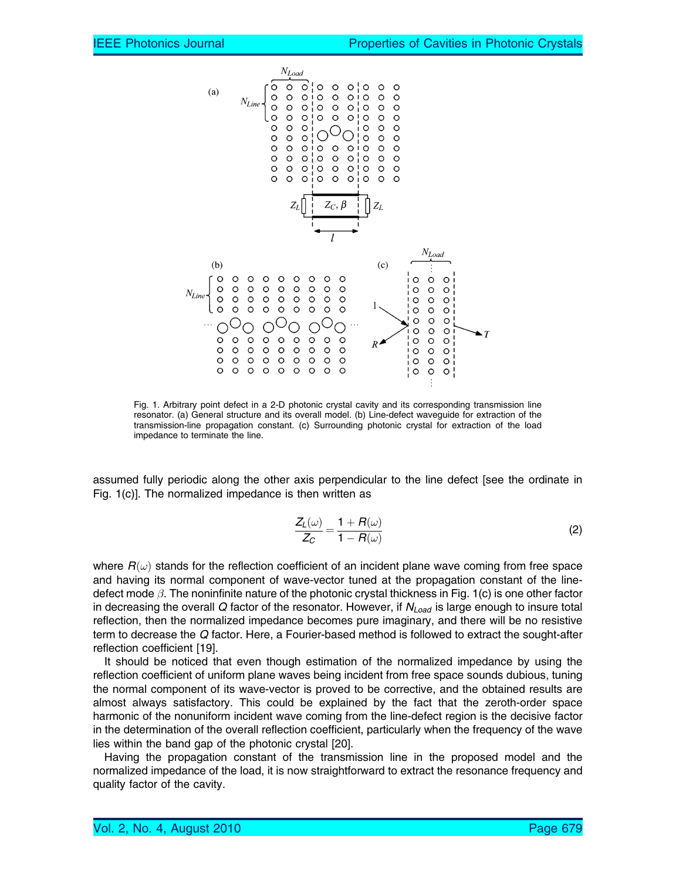

Fig. 1. Arbitrary point defect in a 2-D photonic crystal cavity and its corresponding transmission line resonator. (a) General structure and its overall model. (b) Line-defect waveguide for extraction of the transmission-line propagation constant. (c) Surrounding photonic crystal for extraction of the load impedance to terminate the line.

assumed fully periodic along the other axis perpendicular to the line defect [see the ordinate in Fig. 1(c)]. The normalized impedance is then written as

$$
\frac{Z_L(\omega)}{Z_C} = \frac{1 + R(\omega)}{1 - R(\omega)}
$$
\n(2)

where  $R(\omega)$  stands for the reflection coefficient of an incident plane wave coming from free space and having its normal component of wave-vector tuned at the propagation constant of the linedefect mode  $\beta$ . The noninfinite nature of the photonic crystal thickness in Fig. 1(c) is one other factor in decreasing the overall  $Q$  factor of the resonator. However, if  $N_{Load}$  is large enough to insure total reflection, then the normalized impedance becomes pure imaginary, and there will be no resistive term to decrease the Q factor. Here, a Fourier-based method is followed to extract the sought-after reflection coefficient [19].

It should be noticed that even though estimation of the normalized impedance by using the reflection coefficient of uniform plane waves being incident from free space sounds dubious, tuning the normal component of its wave-vector is proved to be corrective, and the obtained results are almost always satisfactory. This could be explained by the fact that the zeroth-order space harmonic of the nonuniform incident wave coming from the line-defect region is the decisive factor in the determination of the overall reflection coefficient, particularly when the frequency of the wave lies within the band gap of the photonic crystal [20].

Having the propagation constant of the transmission line in the proposed model and the normalized impedance of the load, it is now straightforward to extract the resonance frequency and quality factor of the cavity.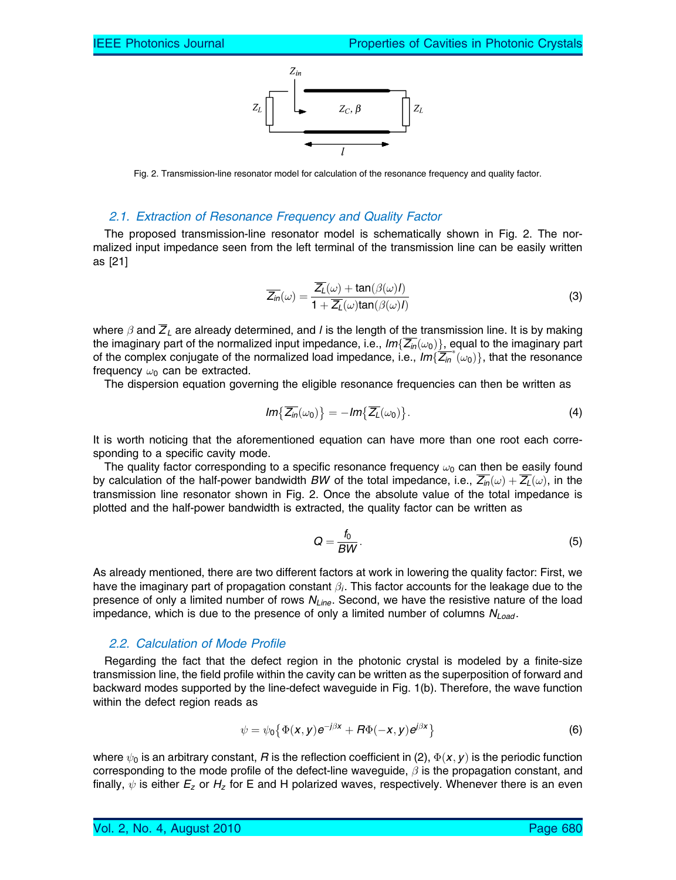

Fig. 2. Transmission-line resonator model for calculation of the resonance frequency and quality factor.

#### 2.1. Extraction of Resonance Frequency and Quality Factor

The proposed transmission-line resonator model is schematically shown in Fig. 2. The normalized input impedance seen from the left terminal of the transmission line can be easily written as [21]

$$
\overline{Z_{in}}(\omega) = \frac{\overline{Z_L}(\omega) + \tan(\beta(\omega))}{1 + \overline{Z_L}(\omega)\tan(\beta(\omega))}
$$
(3)

where  $\beta$  and  $\overline{Z}_L$  are already determined, and *I* is the length of the transmission line. It is by making the imaginary part of the normalized input impedance, i.e.,  $Im{Z_{in}(\omega_0)}$ , equal to the imaginary part of the complex conjugate of the normalized load impedance, i.e.,  $lm\{Z_m^*(\omega_0)\}$ , that the resonance frequency  $\omega_0$  can be extracted.

The dispersion equation governing the eligible resonance frequencies can then be written as

$$
Im\{\overline{Z_{in}}(\omega_0)\}=-Im\{\overline{Z_{L}}(\omega_0)\}.
$$
\n(4)

It is worth noticing that the aforementioned equation can have more than one root each corresponding to a specific cavity mode.

The quality factor corresponding to a specific resonance frequency  $\omega_0$  can then be easily found by calculation of the half-power bandwidth BW of the total impedance, i.e.,  $\overline{Z_{in}}(\omega) + \overline{Z_{L}}(\omega)$ , in the transmission line resonator shown in Fig. 2. Once the absolute value of the total impedance is plotted and the half-power bandwidth is extracted, the quality factor can be written as

$$
Q = \frac{f_0}{BW}.\tag{5}
$$

As already mentioned, there are two different factors at work in lowering the quality factor: First, we have the imaginary part of propagation constant  $\beta_i$ . This factor accounts for the leakage due to the presence of only a limited number of rows  $N_{Line}$ . Second, we have the resistive nature of the load impedance, which is due to the presence of only a limited number of columns  $N_{Load}$ .

#### 2.2. Calculation of Mode Profile

Regarding the fact that the defect region in the photonic crystal is modeled by a finite-size transmission line, the field profile within the cavity can be written as the superposition of forward and backward modes supported by the line-defect waveguide in Fig. 1(b). Therefore, the wave function within the defect region reads as

$$
\psi = \psi_0 \left\{ \Phi(x, y) e^{-j\beta x} + R \Phi(-x, y) e^{j\beta x} \right\}
$$
 (6)

where  $\psi_0$  is an arbitrary constant,  $R$  is the reflection coefficient in (2),  $\Phi(\pmb{x},\pmb{y})$  is the periodic function corresponding to the mode profile of the defect-line waveguide,  $\beta$  is the propagation constant, and finally,  $\psi$  is either  $E_z$  or  $H_z$  for E and H polarized waves, respectively. Whenever there is an even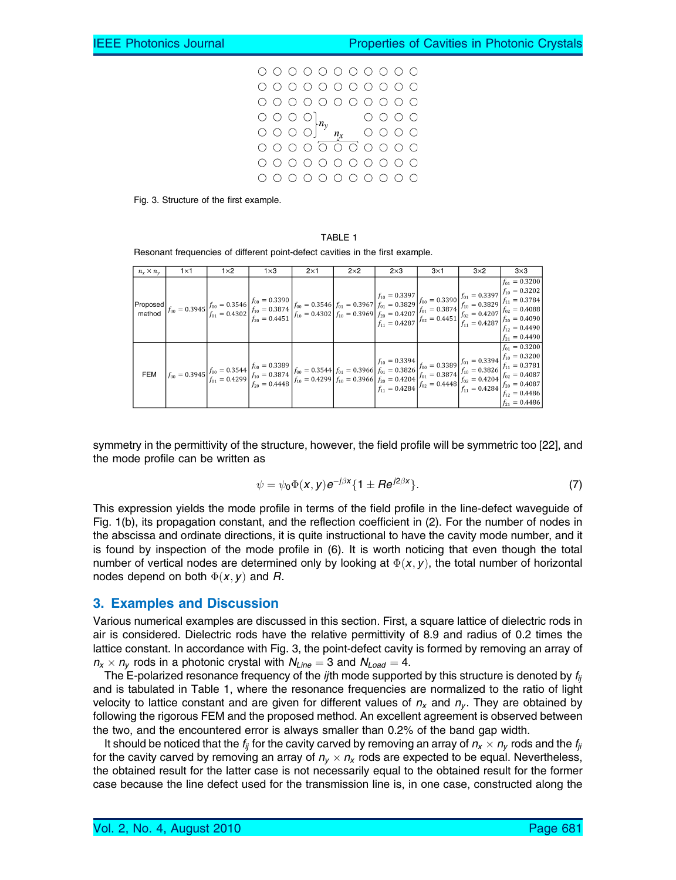



#### TABLE 1

Resonant frequencies of different point-defect cavities in the first example.

| $n_r \times n_v$ | $1\times1$ | $1\times2$ | $1\times3$                                                                                                                                                                                                                                                                                                  | $2\times1$ | $2\times2$ | $2\times3$ | $3\times1$ | $3\times2$ | $3\times3$                             |
|------------------|------------|------------|-------------------------------------------------------------------------------------------------------------------------------------------------------------------------------------------------------------------------------------------------------------------------------------------------------------|------------|------------|------------|------------|------------|----------------------------------------|
|                  |            |            |                                                                                                                                                                                                                                                                                                             |            |            |            |            |            | $f_{01} = 0.3200$<br>$ f_{21}=0.4490 $ |
| <b>FEM</b>       |            |            | $\begin{array}{ c c c c c c c } \hline \vspace{0.08in} & \vspace{0.08in} f_{00} = 0.3944 & f_{00} = 0.3394 & f_{00} = 0.3394 & f_{00} = 0.3394 & f_{00} = 0.3394 & f_{00} = 0.3394 & f_{00} = 0.3394 & f_{00} = 0.3394 & f_{00} = 0.3394 & f_{00} = 0.3394 & f_{00} = 0.3394 & f_{00} = 0.3394 & f_{00} = $ |            |            |            |            |            | $f_{01} = 0.3200$<br>$ f_{21}=0.4486 $ |

symmetry in the permittivity of the structure, however, the field profile will be symmetric too [22], and the mode profile can be written as

$$
\psi = \psi_0 \Phi(\mathbf{x}, \mathbf{y}) e^{-j\beta \mathbf{x}} \{ \mathbf{1} \pm \mathbf{R} e^{j2\beta \mathbf{x}} \}.
$$
 (7)

This expression yields the mode profile in terms of the field profile in the line-defect waveguide of Fig. 1(b), its propagation constant, and the reflection coefficient in (2). For the number of nodes in the abscissa and ordinate directions, it is quite instructional to have the cavity mode number, and it is found by inspection of the mode profile in (6). It is worth noticing that even though the total number of vertical nodes are determined only by looking at  $\Phi(\mathsf{x},\mathsf{y}),$  the total number of horizontal nodes depend on both  $\Phi(\pmb{x},\pmb{y})$  and  $\pmb{R}.$ 

#### 3. Examples and Discussion

Various numerical examples are discussed in this section. First, a square lattice of dielectric rods in air is considered. Dielectric rods have the relative permittivity of 8.9 and radius of 0.2 times the lattice constant. In accordance with Fig. 3, the point-defect cavity is formed by removing an array of  $n_x \times n_y$  rods in a photonic crystal with  $N_{Line} = 3$  and  $N_{Load} = 4$ .

The E-polarized resonance frequency of the *ij*th mode supported by this structure is denoted by  $f_{ij}$ and is tabulated in Table 1, where the resonance frequencies are normalized to the ratio of light velocity to lattice constant and are given for different values of  $n_x$  and  $n_y$ . They are obtained by following the rigorous FEM and the proposed method. An excellent agreement is observed between the two, and the encountered error is always smaller than 0.2% of the band gap width.

It should be noticed that the  $f_{ii}$  for the cavity carved by removing an array of  $n_x \times n_y$  rods and the  $f_{ii}$ for the cavity carved by removing an array of  $n_y \times n_x$  rods are expected to be equal. Nevertheless, the obtained result for the latter case is not necessarily equal to the obtained result for the former case because the line defect used for the transmission line is, in one case, constructed along the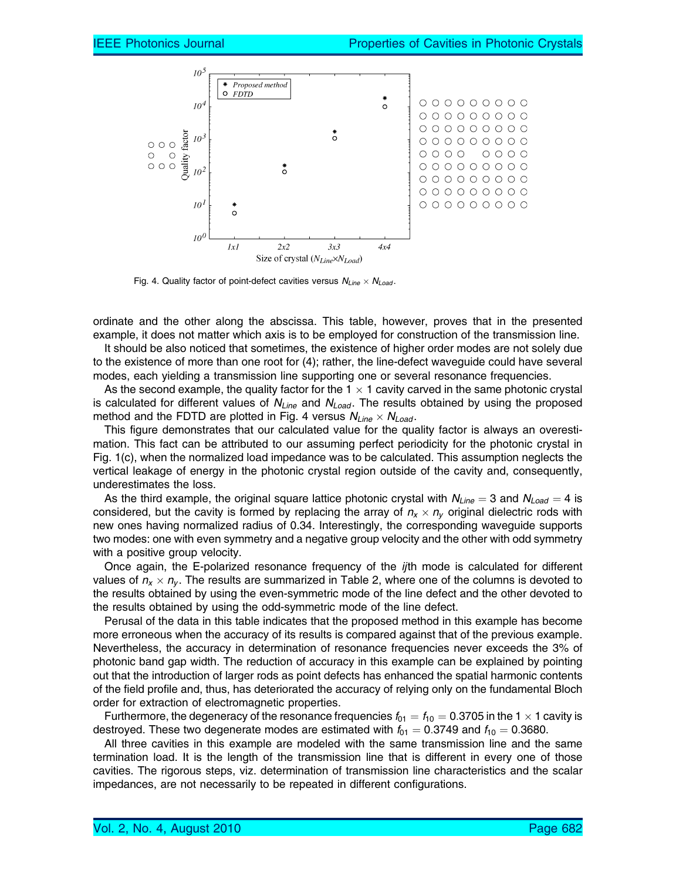

Fig. 4. Quality factor of point-defect cavities versus  $N_{Line} \times N_{Load}$ .

ordinate and the other along the abscissa. This table, however, proves that in the presented example, it does not matter which axis is to be employed for construction of the transmission line.

It should be also noticed that sometimes, the existence of higher order modes are not solely due to the existence of more than one root for (4); rather, the line-defect waveguide could have several modes, each yielding a transmission line supporting one or several resonance frequencies.

As the second example, the quality factor for the  $1 \times 1$  cavity carved in the same photonic crystal is calculated for different values of  $N_{Line}$  and  $N_{Load}$ . The results obtained by using the proposed method and the FDTD are plotted in Fig. 4 versus  $N_{Line} \times N_{Load}$ .

This figure demonstrates that our calculated value for the quality factor is always an overestimation. This fact can be attributed to our assuming perfect periodicity for the photonic crystal in Fig. 1(c), when the normalized load impedance was to be calculated. This assumption neglects the vertical leakage of energy in the photonic crystal region outside of the cavity and, consequently, underestimates the loss.

As the third example, the original square lattice photonic crystal with  $N_{Line} = 3$  and  $N_{Load} = 4$  is considered, but the cavity is formed by replacing the array of  $n_x \times n_y$  original dielectric rods with new ones having normalized radius of 0.34. Interestingly, the corresponding waveguide supports two modes: one with even symmetry and a negative group velocity and the other with odd symmetry with a positive group velocity.

Once again, the E-polarized resonance frequency of the *ij*th mode is calculated for different values of  $n_x \times n_y$ . The results are summarized in Table 2, where one of the columns is devoted to the results obtained by using the even-symmetric mode of the line defect and the other devoted to the results obtained by using the odd-symmetric mode of the line defect.

Perusal of the data in this table indicates that the proposed method in this example has become more erroneous when the accuracy of its results is compared against that of the previous example. Nevertheless, the accuracy in determination of resonance frequencies never exceeds the 3% of photonic band gap width. The reduction of accuracy in this example can be explained by pointing out that the introduction of larger rods as point defects has enhanced the spatial harmonic contents of the field profile and, thus, has deteriorated the accuracy of relying only on the fundamental Bloch order for extraction of electromagnetic properties.

Furthermore, the degeneracy of the resonance frequencies  $f_{01} = f_{10} = 0.3705$  in the 1  $\times$  1 cavity is destroyed. These two degenerate modes are estimated with  $f_{01} = 0.3749$  and  $f_{10} = 0.3680$ .

All three cavities in this example are modeled with the same transmission line and the same termination load. It is the length of the transmission line that is different in every one of those cavities. The rigorous steps, viz. determination of transmission line characteristics and the scalar impedances, are not necessarily to be repeated in different configurations.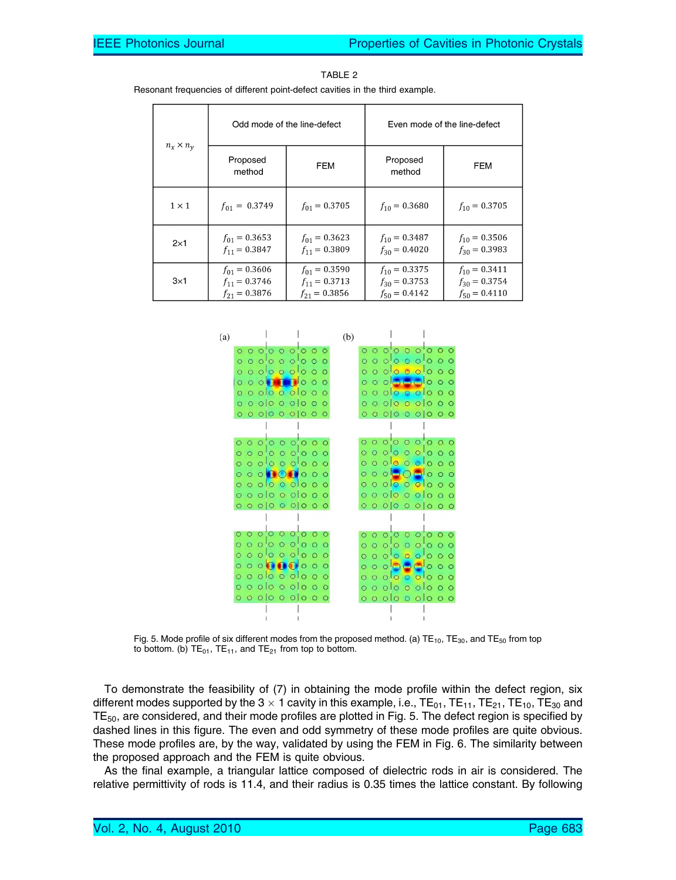|                  |                                                             | Odd mode of the line-defect                                 | Even mode of the line-defect                                |                                                             |  |
|------------------|-------------------------------------------------------------|-------------------------------------------------------------|-------------------------------------------------------------|-------------------------------------------------------------|--|
| $n_x \times n_v$ | Proposed<br>method                                          | <b>FEM</b>                                                  | Proposed<br>method                                          | <b>FEM</b>                                                  |  |
| $1 \times 1$     | $f_{01} = 0.3749$                                           | $f_{01} = 0.3705$                                           | $f_{10} = 0.3680$                                           | $f_{10} = 0.3705$                                           |  |
| $2\times1$       | $f_{01} = 0.3653$<br>$f_{11} = 0.3847$                      | $f_{01} = 0.3623$<br>$f_{11} = 0.3809$                      | $f_{10} = 0.3487$<br>$f_{30} = 0.4020$                      | $f_{10} = 0.3506$<br>$f_{30} = 0.3983$                      |  |
| $3\times1$       | $f_{01} = 0.3606$<br>$f_{11} = 0.3746$<br>$f_{21} = 0.3876$ | $f_{01} = 0.3590$<br>$f_{11} = 0.3713$<br>$f_{21} = 0.3856$ | $f_{10} = 0.3375$<br>$f_{30} = 0.3753$<br>$f_{50} = 0.4142$ | $f_{10} = 0.3411$<br>$f_{30} = 0.3754$<br>$f_{50} = 0.4110$ |  |

TABLE 2

Resonant frequencies of different point-defect cavities in the third example.



Fig. 5. Mode profile of six different modes from the proposed method. (a)  $TE_{10}$ ,  $TE_{30}$ , and  $TE_{50}$  from top to bottom. (b)  $TE_{01}$ ,  $TE_{11}$ , and  $TE_{21}$  from top to bottom.

To demonstrate the feasibility of (7) in obtaining the mode profile within the defect region, six different modes supported by the 3  $\times$  1 cavity in this example, i.e., TE<sub>01</sub>, TE<sub>11</sub>, TE<sub>21</sub>, TE<sub>10</sub>, TE<sub>30</sub> and TE<sub>50</sub>, are considered, and their mode profiles are plotted in Fig. 5. The defect region is specified by dashed lines in this figure. The even and odd symmetry of these mode profiles are quite obvious. These mode profiles are, by the way, validated by using the FEM in Fig. 6. The similarity between the proposed approach and the FEM is quite obvious.

As the final example, a triangular lattice composed of dielectric rods in air is considered. The relative permittivity of rods is 11.4, and their radius is 0.35 times the lattice constant. By following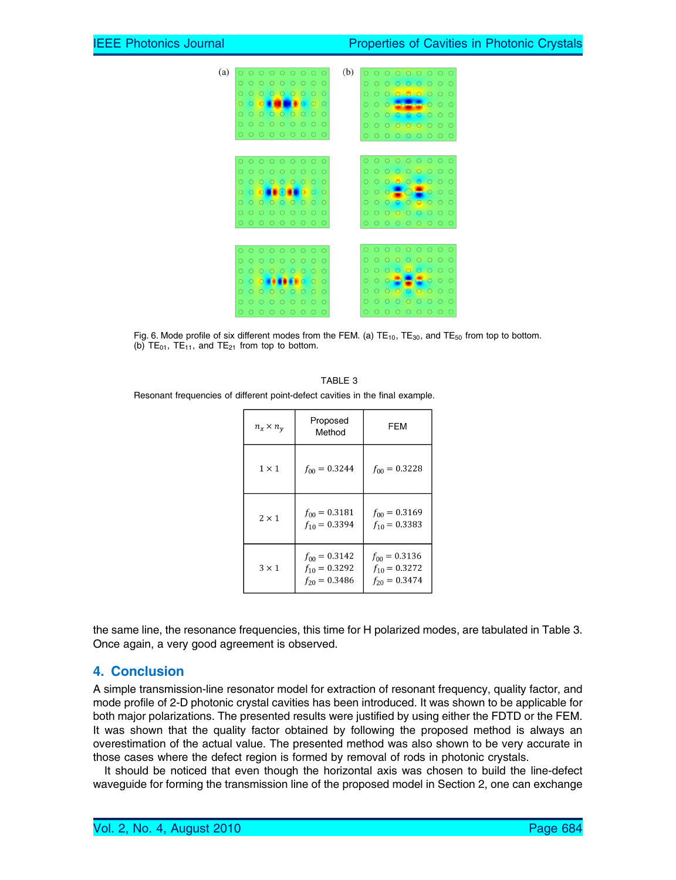

Fig. 6. Mode profile of six different modes from the FEM. (a)  $TE_{10}$ ,  $TE_{30}$ , and  $TE_{50}$  from top to bottom. (b)  $TE_{01}$ ,  $TE_{11}$ , and  $TE_{21}$  from top to bottom.

|                                                                               | TABLE 3 |  |
|-------------------------------------------------------------------------------|---------|--|
| Resonant frequencies of different point-defect cavities in the final example. |         |  |

| $n_x \times n_v$ | Proposed<br>Method                                          | FEM                                                         |  |  |
|------------------|-------------------------------------------------------------|-------------------------------------------------------------|--|--|
| $1 \times 1$     | $f_{00} = 0.3244$                                           | $f_{00} = 0.3228$                                           |  |  |
| $2 \times 1$     | $f_{00} = 0.3181$<br>$f_{10} = 0.3394$                      | $f_{00} = 0.3169$<br>$f_{10} = 0.3383$                      |  |  |
| $3 \times 1$     | $f_{00} = 0.3142$<br>$f_{10} = 0.3292$<br>$f_{20} = 0.3486$ | $f_{00} = 0.3136$<br>$f_{10} = 0.3272$<br>$f_{20} = 0.3474$ |  |  |

the same line, the resonance frequencies, this time for H polarized modes, are tabulated in Table 3. Once again, a very good agreement is observed.

#### 4. Conclusion

A simple transmission-line resonator model for extraction of resonant frequency, quality factor, and mode profile of 2-D photonic crystal cavities has been introduced. It was shown to be applicable for both major polarizations. The presented results were justified by using either the FDTD or the FEM. It was shown that the quality factor obtained by following the proposed method is always an overestimation of the actual value. The presented method was also shown to be very accurate in those cases where the defect region is formed by removal of rods in photonic crystals.

It should be noticed that even though the horizontal axis was chosen to build the line-defect waveguide for forming the transmission line of the proposed model in Section 2, one can exchange